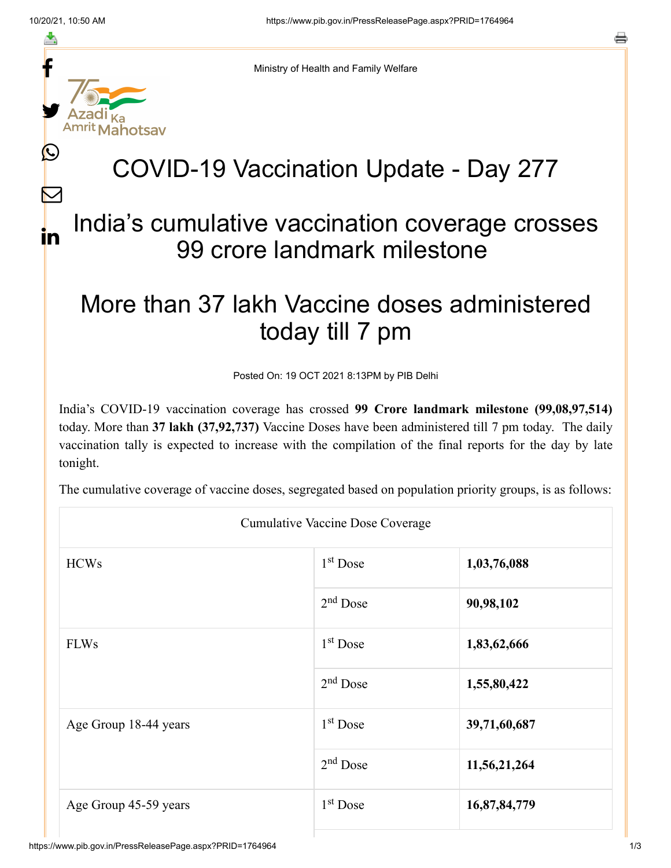f

≛

y.

Ŀ

 $\bm{\nabla}$ 

in



## COVID-19 Vaccination Update - Day 277

## India's cumulative vaccination coverage crosses 99 crore landmark milestone

## More than 37 lakh Vaccine doses administered today till 7 pm

Posted On: 19 OCT 2021 8:13PM by PIB Delhi

India's COVID-19 vaccination coverage has crossed **99 Crore landmark milestone (99,08,97,514)** today. More than **37 lakh (37,92,737)** Vaccine Doses have been administered till 7 pm today. The daily vaccination tally is expected to increase with the compilation of the final reports for the day by late tonight.

The cumulative coverage of vaccine doses, segregated based on population priority groups, is as follows:

| <b>Cumulative Vaccine Dose Coverage</b> |            |              |  |  |
|-----------------------------------------|------------|--------------|--|--|
| <b>HCWs</b>                             | $1st$ Dose | 1,03,76,088  |  |  |
|                                         | $2nd$ Dose | 90,98,102    |  |  |
| <b>FLWs</b>                             | $1st$ Dose | 1,83,62,666  |  |  |
|                                         | $2nd$ Dose | 1,55,80,422  |  |  |
| Age Group 18-44 years                   | $1st$ Dose | 39,71,60,687 |  |  |
|                                         | $2nd$ Dose | 11,56,21,264 |  |  |
| Age Group 45-59 years                   | $1st$ Dose | 16,87,84,779 |  |  |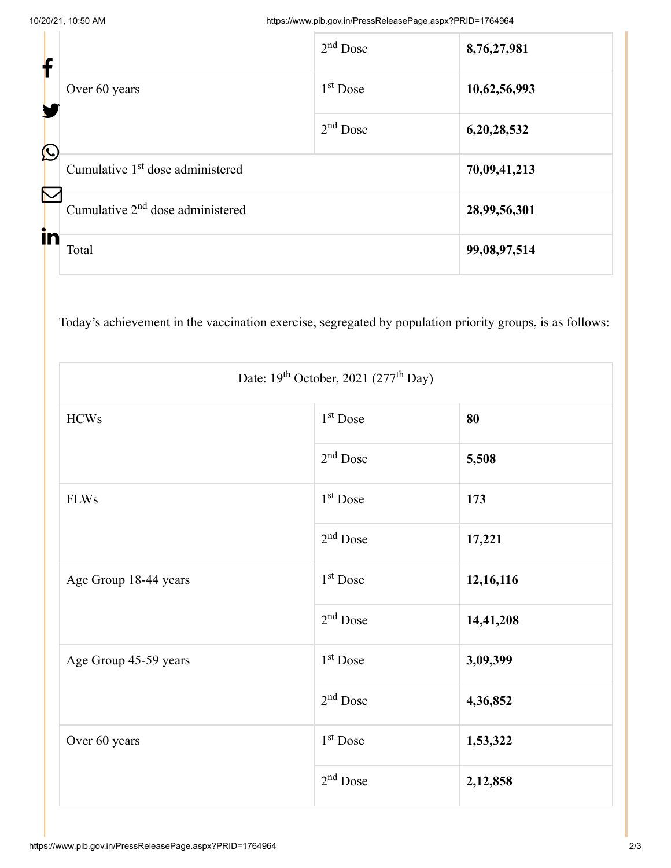| f                              |                                              | $2nd$ Dose | 8,76,27,981  |
|--------------------------------|----------------------------------------------|------------|--------------|
|                                | Over 60 years                                | $1st$ Dose | 10,62,56,993 |
| $\mathbf{\mathbf{\mathbb{C}}}$ |                                              | $2nd$ Dose | 6,20,28,532  |
| Ñ                              | Cumulative 1 <sup>st</sup> dose administered |            | 70,09,41,213 |
|                                | Cumulative $2nd$ dose administered           |            | 28,99,56,301 |
| in                             | Total                                        |            | 99,08,97,514 |

Today's achievement in the vaccination exercise, segregated by population priority groups, is as follows:

| Date: $19^{th}$ October, 2021 (277 <sup>th</sup> Day) |                      |           |  |  |
|-------------------------------------------------------|----------------------|-----------|--|--|
| <b>HCWs</b>                                           | 1 <sup>st</sup> Dose | 80        |  |  |
|                                                       | $2nd$ Dose           | 5,508     |  |  |
| <b>FLWs</b>                                           | 1 <sup>st</sup> Dose | 173       |  |  |
|                                                       | $2nd$ Dose           | 17,221    |  |  |
| Age Group 18-44 years                                 | 1 <sup>st</sup> Dose | 12,16,116 |  |  |
|                                                       | $2nd$ Dose           | 14,41,208 |  |  |
| Age Group 45-59 years                                 | $1st$ Dose           | 3,09,399  |  |  |
|                                                       | $2nd$ Dose           | 4,36,852  |  |  |
| Over 60 years                                         | $1st$ Dose           | 1,53,322  |  |  |
|                                                       | $2nd$ Dose           | 2,12,858  |  |  |